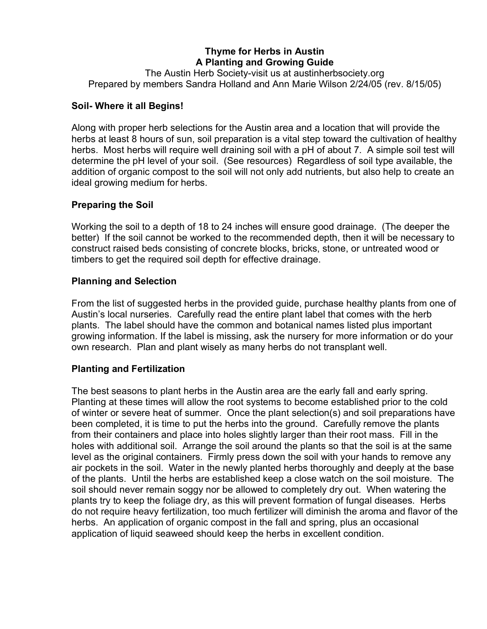# **Thyme for Herbs in Austin A Planting and Growing Guide**

The Austin Herb Society-visit us at austinherbsociety.org Prepared by members Sandra Holland and Ann Marie Wilson 2/24/05 (rev. 8/15/05)

#### **Soil- Where it all Begins!**

Along with proper herb selections for the Austin area and a location that will provide the herbs at least 8 hours of sun, soil preparation is a vital step toward the cultivation of healthy herbs. Most herbs will require well draining soil with a pH of about 7. A simple soil test will determine the pH level of your soil. (See resources) Regardless of soil type available, the addition of organic compost to the soil will not only add nutrients, but also help to create an ideal growing medium for herbs.

#### **Preparing the Soil**

Working the soil to a depth of 18 to 24 inches will ensure good drainage. (The deeper the better) If the soil cannot be worked to the recommended depth, then it will be necessary to construct raised beds consisting of concrete blocks, bricks, stone, or untreated wood or timbers to get the required soil depth for effective drainage.

#### **Planning and Selection**

From the list of suggested herbs in the provided guide, purchase healthy plants from one of Austin's local nurseries. Carefully read the entire plant label that comes with the herb plants. The label should have the common and botanical names listed plus important growing information. If the label is missing, ask the nursery for more information or do your own research. Plan and plant wisely as many herbs do not transplant well.

#### **Planting and Fertilization**

The best seasons to plant herbs in the Austin area are the early fall and early spring. Planting at these times will allow the root systems to become established prior to the cold of winter or severe heat of summer. Once the plant selection(s) and soil preparations have been completed, it is time to put the herbs into the ground. Carefully remove the plants from their containers and place into holes slightly larger than their root mass. Fill in the holes with additional soil. Arrange the soil around the plants so that the soil is at the same level as the original containers. Firmly press down the soil with your hands to remove any air pockets in the soil. Water in the newly planted herbs thoroughly and deeply at the base of the plants. Until the herbs are established keep a close watch on the soil moisture. The soil should never remain soggy nor be allowed to completely dry out. When watering the plants try to keep the foliage dry, as this will prevent formation of fungal diseases. Herbs do not require heavy fertilization, too much fertilizer will diminish the aroma and flavor of the herbs. An application of organic compost in the fall and spring, plus an occasional application of liquid seaweed should keep the herbs in excellent condition.